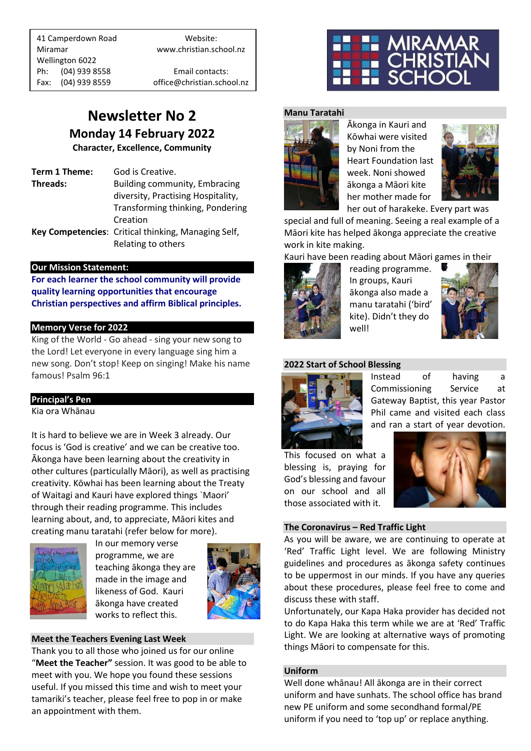41 Camperdown Road Website: Miramar www.christian.school.nz Wellington 6022 Ph: (04) 939 8558 Email contacts:

Fax: (04) 939 8559 office@christian.school.nz

## **Newsletter No 2 Monday 14 February 2022**

**Character, Excellence, Community**

**Term 1 Theme:** God is Creative. **Threads:** Building community, Embracing diversity, Practising Hospitality, Transforming thinking, Pondering Creation **Key Competencies**: Critical thinking, Managing Self, Relating to others

### **Our Mission Statement:**

**For each learner the school community will provide quality learning opportunities that encourage Christian perspectives and affirm Biblical principles***.*

### **Memory Verse for 2022**

King of the World - Go ahead - sing your new song to the Lord! Let everyone in every language sing him a new song. Don't stop! Keep on singing! Make his name famous! Psalm 96:1

## **Principal's Pen**

Kia ora Whānau

It is hard to believe we are in Week 3 already. Our focus is 'God is creative' and we can be creative too. Ākonga have been learning about the creativity in other cultures (particulally Māori), as well as practising creativity. Kōwhai has been learning about the Treaty of Waitagi and Kauri have explored things `Maori' through their reading programme. This includes learning about, and, to appreciate, Māori kites and creating manu taratahi (refer below for more).



In our memory verse programme, we are teaching ākonga they are made in the image and likeness of God. Kauri ākonga have created works to reflect this.



## **Meet the Teachers Evening Last Week**

Thank you to all those who joined us for our online "**Meet the Teacher"** session. It was good to be able to meet with you. We hope you found these sessions useful. If you missed this time and wish to meet your tamariki's teacher, please feel free to pop in or make an appointment with them.



#### **Manu Taratahi**



Ākonga in Kauri and Kōwhai were visited by Noni from the Heart Foundation last week. Noni showed ākonga a Māori kite her mother made for



her out of harakeke. Every part was

special and full of meaning. Seeing a real example of a Māori kite has helped ākonga appreciate the creative work in kite making.

### Kauri have been reading about Māori games in their



reading programme. In groups, Kauri ākonga also made a manu taratahi ('bird' kite). Didn't they do well!



#### **2022 Start of School Blessing**



Instead of having a Commissioning Service at Gateway Baptist, this year Pastor Phil came and visited each class and ran a start of year devotion.

This focused on what a blessing is, praying for God's blessing and favour on our school and all those associated with it.



#### **The Coronavirus – Red Traffic Light**

As you will be aware, we are continuing to operate at 'Red' Traffic Light level. We are following Ministry guidelines and procedures as ākonga safety continues to be uppermost in our minds. If you have any queries about these procedures, please feel free to come and discuss these with staff.

Unfortunately, our Kapa Haka provider has decided not to do Kapa Haka this term while we are at 'Red' Traffic Light. We are looking at alternative ways of promoting things Māori to compensate for this.

#### **Uniform**

Well done whānau! All ākonga are in their correct uniform and have sunhats. The school office has brand new PE uniform and some secondhand formal/PE uniform if you need to 'top up' or replace anything.